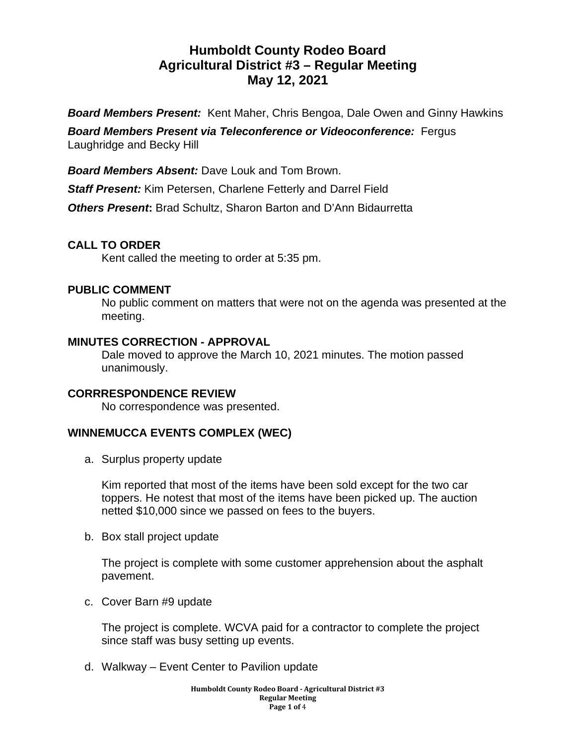# **Humboldt County Rodeo Board Agricultural District #3 – Regular Meeting May 12, 2021**

*Board Members Present:* Kent Maher, Chris Bengoa, Dale Owen and Ginny Hawkins

*Board Members Present via Teleconference or Videoconference:* Fergus Laughridge and Becky Hill

*Board Members Absent:* Dave Louk and Tom Brown.

*Staff Present:* Kim Petersen, Charlene Fetterly and Darrel Field

*Others Present***:** Brad Schultz, Sharon Barton and D'Ann Bidaurretta

# **CALL TO ORDER**

Kent called the meeting to order at 5:35 pm.

# **PUBLIC COMMENT**

No public comment on matters that were not on the agenda was presented at the meeting.

# **MINUTES CORRECTION - APPROVAL**

Dale moved to approve the March 10, 2021 minutes. The motion passed unanimously.

# **CORRRESPONDENCE REVIEW**

No correspondence was presented.

# **WINNEMUCCA EVENTS COMPLEX (WEC)**

a. Surplus property update

Kim reported that most of the items have been sold except for the two car toppers. He notest that most of the items have been picked up. The auction netted \$10,000 since we passed on fees to the buyers.

b. Box stall project update

The project is complete with some customer apprehension about the asphalt pavement.

c. Cover Barn #9 update

The project is complete. WCVA paid for a contractor to complete the project since staff was busy setting up events.

d. Walkway – Event Center to Pavilion update

**Humboldt County Rodeo Board - Agricultural District #3 Regular Meeting Page 1 of** 4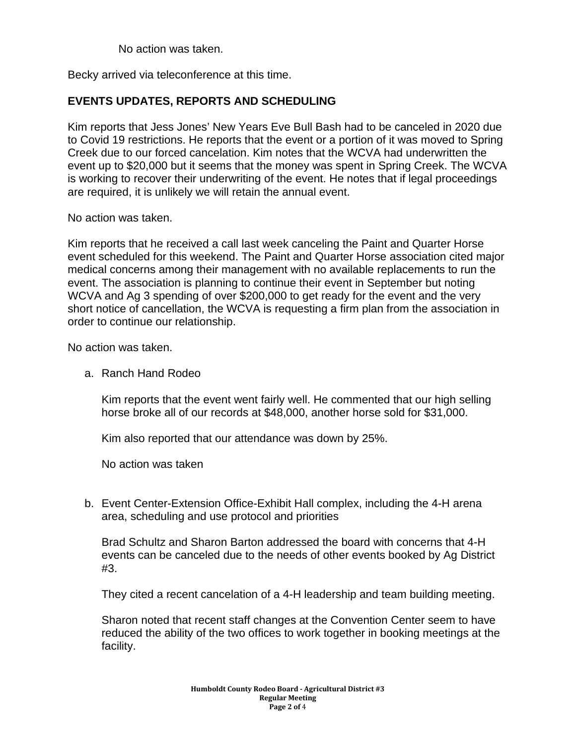No action was taken.

Becky arrived via teleconference at this time.

#### **EVENTS UPDATES, REPORTS AND SCHEDULING**

Kim reports that Jess Jones' New Years Eve Bull Bash had to be canceled in 2020 due to Covid 19 restrictions. He reports that the event or a portion of it was moved to Spring Creek due to our forced cancelation. Kim notes that the WCVA had underwritten the event up to \$20,000 but it seems that the money was spent in Spring Creek. The WCVA is working to recover their underwriting of the event. He notes that if legal proceedings are required, it is unlikely we will retain the annual event.

No action was taken.

Kim reports that he received a call last week canceling the Paint and Quarter Horse event scheduled for this weekend. The Paint and Quarter Horse association cited major medical concerns among their management with no available replacements to run the event. The association is planning to continue their event in September but noting WCVA and Ag 3 spending of over \$200,000 to get ready for the event and the very short notice of cancellation, the WCVA is requesting a firm plan from the association in order to continue our relationship.

No action was taken.

a. Ranch Hand Rodeo

Kim reports that the event went fairly well. He commented that our high selling horse broke all of our records at \$48,000, another horse sold for \$31,000.

Kim also reported that our attendance was down by 25%.

No action was taken

b. Event Center-Extension Office-Exhibit Hall complex, including the 4-H arena area, scheduling and use protocol and priorities

Brad Schultz and Sharon Barton addressed the board with concerns that 4-H events can be canceled due to the needs of other events booked by Ag District #3.

They cited a recent cancelation of a 4-H leadership and team building meeting.

Sharon noted that recent staff changes at the Convention Center seem to have reduced the ability of the two offices to work together in booking meetings at the facility.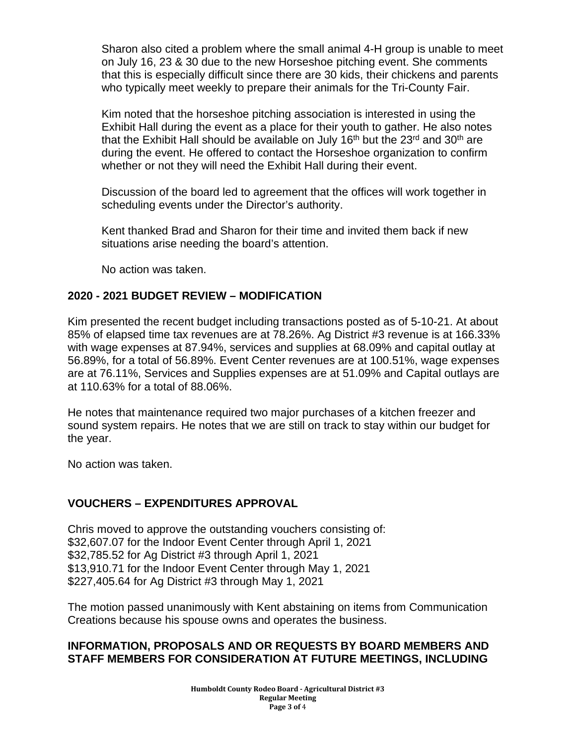Sharon also cited a problem where the small animal 4-H group is unable to meet on July 16, 23 & 30 due to the new Horseshoe pitching event. She comments that this is especially difficult since there are 30 kids, their chickens and parents who typically meet weekly to prepare their animals for the Tri-County Fair.

Kim noted that the horseshoe pitching association is interested in using the Exhibit Hall during the event as a place for their youth to gather. He also notes that the Exhibit Hall should be available on July 16<sup>th</sup> but the 23<sup>rd</sup> and 30<sup>th</sup> are during the event. He offered to contact the Horseshoe organization to confirm whether or not they will need the Exhibit Hall during their event.

Discussion of the board led to agreement that the offices will work together in scheduling events under the Director's authority.

Kent thanked Brad and Sharon for their time and invited them back if new situations arise needing the board's attention.

No action was taken.

#### **2020 - 2021 BUDGET REVIEW – MODIFICATION**

Kim presented the recent budget including transactions posted as of 5-10-21. At about 85% of elapsed time tax revenues are at 78.26%. Ag District #3 revenue is at 166.33% with wage expenses at 87.94%, services and supplies at 68.09% and capital outlay at 56.89%, for a total of 56.89%. Event Center revenues are at 100.51%, wage expenses are at 76.11%, Services and Supplies expenses are at 51.09% and Capital outlays are at 110.63% for a total of 88.06%.

He notes that maintenance required two major purchases of a kitchen freezer and sound system repairs. He notes that we are still on track to stay within our budget for the year.

No action was taken.

# **VOUCHERS – EXPENDITURES APPROVAL**

Chris moved to approve the outstanding vouchers consisting of: \$32,607.07 for the Indoor Event Center through April 1, 2021 \$32,785.52 for Ag District #3 through April 1, 2021 \$13,910.71 for the Indoor Event Center through May 1, 2021 \$227,405.64 for Ag District #3 through May 1, 2021

The motion passed unanimously with Kent abstaining on items from Communication Creations because his spouse owns and operates the business.

# **INFORMATION, PROPOSALS AND OR REQUESTS BY BOARD MEMBERS AND STAFF MEMBERS FOR CONSIDERATION AT FUTURE MEETINGS, INCLUDING**